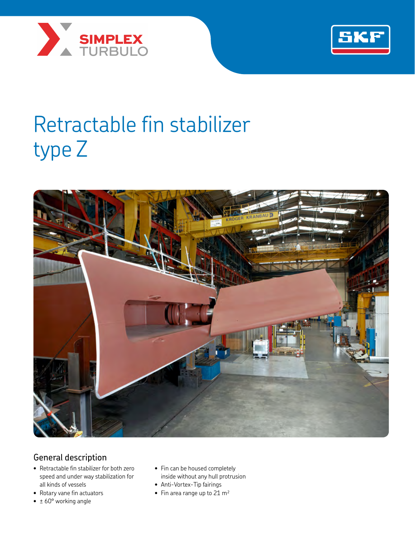



# Retractable fin stabilizer type Z



# General description

- Retractable fin stabilizer for both zero speed and under way stabilization for all kinds of vessels
- Rotary vane fin actuators
- $\cdot \pm 60^{\circ}$  working angle
- Fin can be housed completely inside without any hull protrusion
- Anti-Vortex-Tip fairings
- Fin area range up to  $21 \text{ m}^2$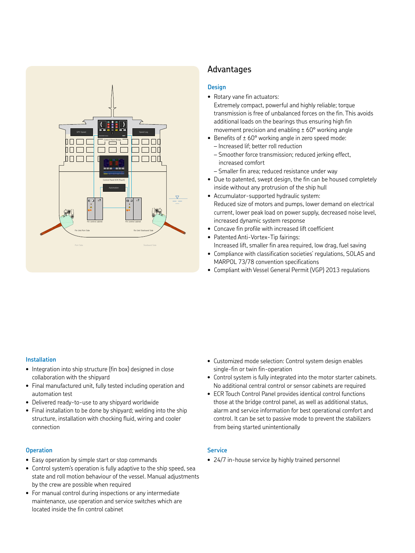

## Advantages

### **Design**

- Rotary vane fin actuators: Extremely compact, powerful and highly reliable; torque transmission is free of unbalanced forces on the fin. This avoids additional loads on the bearings thus ensuring high fin movement precision and enabling  $\pm$  60 $\degree$  working angle
- Benefits of  $\pm$  60° working angle in zero speed mode:
- Increased lif; better roll reduction – Smoother force transmission; reduced jerking effect, increased comfort
- Smaller fin area; reduced resistance under way
- Due to patented, swept design, the fin can be housed completely inside without any protrusion of the ship hull
- Accumulator-supported hydraulic system: Reduced size of motors and pumps, lower demand on electrical current, lower peak load on power supply, decreased noise level, increased dynamic system response
- Concave fin profile with increased lift coefficient
- Patented Anti-Vortex-Tip fairings: Increased lift, smaller fin area required, low drag, fuel saving
- Compliance with classification societies' regulations, SOLAS and MARPOL 73/78 convention specifications
- Compliant with Vessel General Permit (VGP) 2013 regulations

#### **Installation**

- Integration into ship structure (fin box) designed in close collaboration with the shipyard
- Final manufactured unit, fully tested including operation and automation test
- Delivered ready-to-use to any shipyard worldwide
- Final installation to be done by shipyard; welding into the ship structure, installation with chocking fluid, wiring and cooler connection

#### **Operation**

- Easy operation by simple start or stop commands
- Control system's operation is fully adaptive to the ship speed, sea state and roll motion behaviour of the vessel. Manual adjustments by the crew are possible when required
- For manual control during inspections or any intermediate maintenance, use operation and service switches which are located inside the fin control cabinet
- Customized mode selection: Control system design enables single-fin or twin fin-operation
- Control system is fully integrated into the motor starter cabinets. No additional central control or sensor cabinets are required
- ECR Touch Control Panel provides identical control functions those at the bridge control panel, as well as additional status, alarm and service information for best operational comfort and control. It can be set to passive mode to prevent the stabilizers from being started unintentionally

#### **Service**

• 24/7 in-house service by highly trained personnel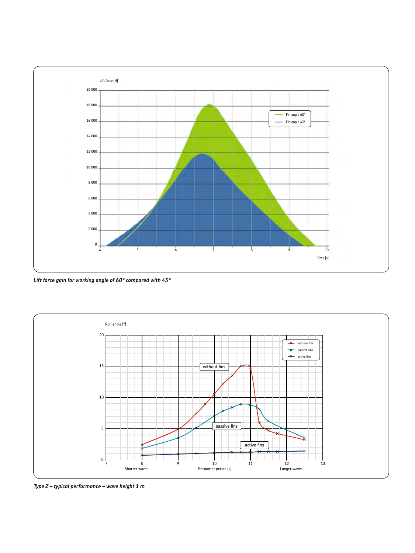

*Lift force gain for working angle of 60° compared with 45°*



*Type Z – typical performance – wave height 1 m*